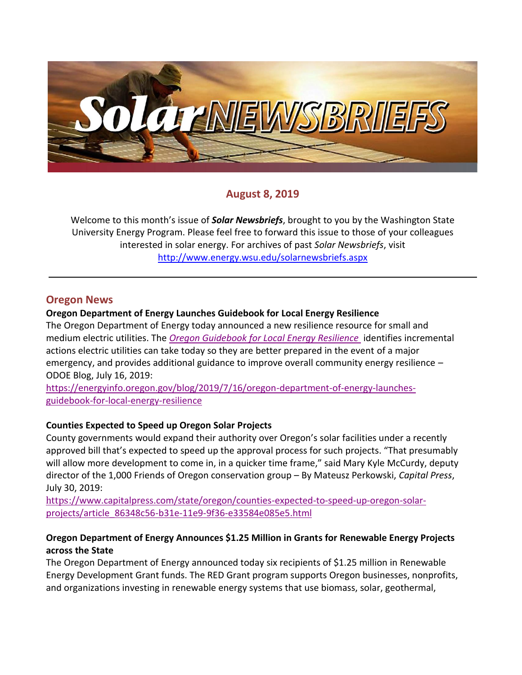

# **August 8, 2019**

Welcome to this month's issue of *Solar Newsbriefs*, brought to you by the Washington State University Energy Program. Please feel free to forward this issue to those of your colleagues interested in solar energy. For archives of past *Solar Newsbriefs*, visit <http://www.energy.wsu.edu/solarnewsbriefs.aspx>

### **Oregon News**

### **Oregon Department of Energy Launches Guidebook for Local Energy Resilience**

The Oregon Department of Energy today announced a new resilience resource for small and medium electric utilities. The *[Oregon Guidebook for Local Energy Resilience](https://www.oregon.gov/energy/safety-resiliency/Pages/Local-Energy-Resilience-Guide.aspx)* identifies incremental actions electric utilities can take today so they are better prepared in the event of a major emergency, and provides additional guidance to improve overall community energy resilience – ODOE Blog, July 16, 2019:

[https://energyinfo.oregon.gov/blog/2019/7/16/oregon-department-of-energy-launches](https://energyinfo.oregon.gov/blog/2019/7/16/oregon-department-of-energy-launches-guidebook-for-local-energy-resilience)[guidebook-for-local-energy-resilience](https://energyinfo.oregon.gov/blog/2019/7/16/oregon-department-of-energy-launches-guidebook-for-local-energy-resilience)

### **Counties Expected to Speed up Oregon Solar Projects**

County governments would expand their authority over Oregon's solar facilities under a recently approved bill that's expected to speed up the approval process for such projects. "That presumably will allow more development to come in, in a quicker time frame," said Mary Kyle McCurdy, deputy director of the 1,000 Friends of Oregon conservation group – By Mateusz Perkowski, *Capital Press*, July 30, 2019:

https[://www.capitalpress.com/state/oregon/counties-expected-to-speed-up-oregon-solar](https://www.capitalpress.com/state/oregon/counties-expected-to-speed-up-oregon-solar-projects/article_86348c56-b31e-11e9-9f36-e33584e085e5.html)[projects/article\\_86348c56-b31e-11e9-9f36-e33584e085e5.html](https://www.capitalpress.com/state/oregon/counties-expected-to-speed-up-oregon-solar-projects/article_86348c56-b31e-11e9-9f36-e33584e085e5.html)

### **Oregon Department of Energy Announces \$1.25 Million in Grants for Renewable Energy Projects across the State**

The Oregon Department of Energy announced today six recipients of \$1.25 million in Renewable Energy Development Grant funds. The RED Grant program supports Oregon businesses, nonprofits, and organizations investing in renewable energy systems that use biomass, solar, geothermal,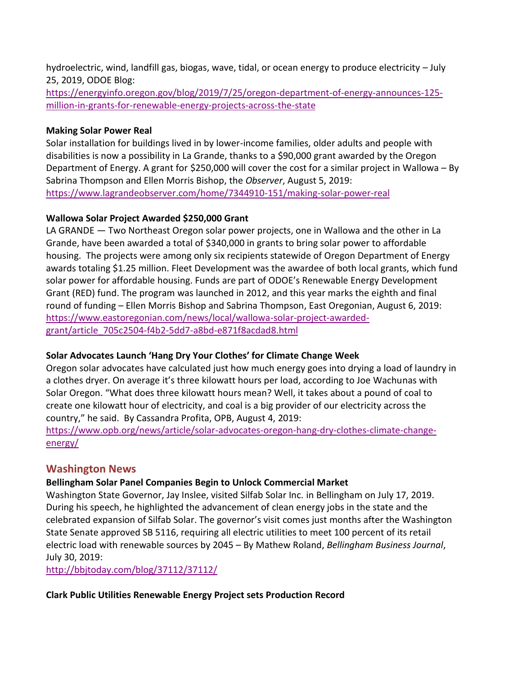hydroelectric, wind, landfill gas, biogas, wave, tidal, or ocean energy to produce electricity – July 25, 2019, ODOE Blog:

[https://energyinfo.oregon.gov/blog/2019/7/25/oregon-department-of-energy-announces-125](https://energyinfo.oregon.gov/blog/2019/7/25/oregon-department-of-energy-announces-125-million-in-grants-for-renewable-energy-projects-across-the-state) [million-in-grants-for-renewable-energy-projects-across-the-state](https://energyinfo.oregon.gov/blog/2019/7/25/oregon-department-of-energy-announces-125-million-in-grants-for-renewable-energy-projects-across-the-state)

### **Making Solar Power Real**

Solar installation for buildings lived in by lower-income families, older adults and people with disabilities is now a possibility in La Grande, thanks to a \$90,000 grant awarded by the Oregon Department of Energy. A grant for \$250,000 will cover the cost for a similar project in Wallowa – By Sabrina Thompson and Ellen Morris Bishop, the *Observer*, August 5, 2019: <https://www.lagrandeobserver.com/home/7344910-151/making-solar-power-real>

### **Wallowa Solar Project Awarded \$250,000 Grant**

LA GRANDE — Two Northeast Oregon solar power projects, one in Wallowa and the other in La Grande, have been awarded a total of \$340,000 in grants to bring solar power to affordable housing. The projects were among only six recipients statewide of Oregon Department of Energy awards totaling \$1.25 million. Fleet Development was the awardee of both local grants, which fund solar power for affordable housing. Funds are part of ODOE's Renewable Energy Development Grant (RED) fund. The program was launched in 2012, and this year marks the eighth and final round of funding – Ellen Morris Bishop and Sabrina Thompson, East Oregonian, August 6, 2019: [https://www.eastoregonian.com/news/local/wallowa-solar-project-awarded](https://www.eastoregonian.com/news/local/wallowa-solar-project-awarded-grant/article_705c2504-f4b2-5dd7-a8bd-e871f8acdad8.html)[grant/article\\_705c2504-f4b2-5dd7-a8bd-e871f8acdad8.html](https://www.eastoregonian.com/news/local/wallowa-solar-project-awarded-grant/article_705c2504-f4b2-5dd7-a8bd-e871f8acdad8.html)

# **Solar Advocates Launch 'Hang Dry Your Clothes' for Climate Change Week**

Oregon solar advocates have calculated just how much energy goes into drying a load of laundry in a clothes dryer. On average it's three kilowatt hours per load, according to Joe Wachunas with Solar Oregon. "What does three kilowatt hours mean? Well, it takes about a pound of coal to create one kilowatt hour of electricity, and coal is a big provider of our electricity across the country," he said. By Cassandra Profita, OPB, August 4, 2019:

[https://www.opb.org/news/article/solar-advocates-oregon-hang-dry-clothes-climate-change](https://www.opb.org/news/article/solar-advocates-oregon-hang-dry-clothes-climate-change-energy/)[energy/](https://www.opb.org/news/article/solar-advocates-oregon-hang-dry-clothes-climate-change-energy/)

# **Washington News**

# **[Bellingham Solar Panel Companies Begin to Unlock Commercial Market](http://bbjtoday.com/blog/37112/37112/)**

Washington State Governor, Jay Inslee, visited Silfab Solar Inc. in Bellingham on July 17, 2019. During his speech, he highlighted the advancement of clean energy jobs in the state and the celebrated expansion of Silfab Solar. The governor's visit comes just months after the Washington State Senate approved SB 5116, requiring all electric utilities to meet 100 percent of its retail electric load with renewable sources by 2045 – By Mathew Roland, *Bellingham Business Journal*, July 30, 2019:

<http://bbjtoday.com/blog/37112/37112/>

### **Clark Public Utilities Renewable Energy Project sets Production Record**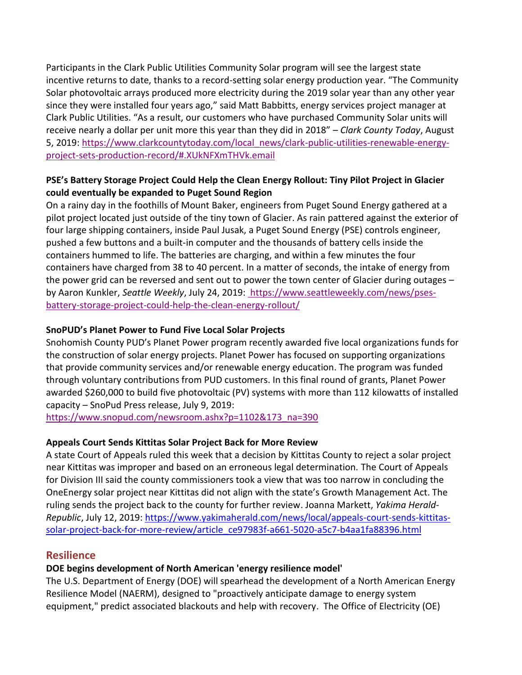Participants in the Clark Public Utilities Community Solar program will see the largest state incentive returns to date, thanks to a record-setting solar energy production year. "The Community Solar photovoltaic arrays produced more electricity during the 2019 solar year than any other year since they were installed four years ago," said Matt Babbitts, energy services project manager at Clark Public Utilities. "As a result, our customers who have purchased Community Solar units will receive nearly a dollar per unit more this year than they did in 2018" – *Clark County Today*, August 5, 2019: [https://www.clarkcountytoday.com/local\\_news/clark-public-utilities-renewable-energy](https://www.clarkcountytoday.com/local_news/clark-public-utilities-renewable-energy-project-sets-production-record/#.XUkNFXmTHVk.email)[project-sets-production-record/#.XUkNFXmTHVk.email](https://www.clarkcountytoday.com/local_news/clark-public-utilities-renewable-energy-project-sets-production-record/#.XUkNFXmTHVk.email)

### **PSE's Battery Storage Project Could Help the Clean Energy Rollout: Tiny Pilot Project in Glacier could eventually be expanded to Puget Sound Region**

On a rainy day in the foothills of Mount Baker, engineers from Puget Sound Energy gathered at a pilot project located just outside of the tiny town of Glacier. As rain pattered against the exterior of four large shipping containers, inside Paul Jusak, a Puget Sound Energy (PSE) controls engineer, pushed a few buttons and a built-in computer and the thousands of battery cells inside the containers hummed to life. The batteries are charging, and within a few minutes the four containers have charged from 38 to 40 percent. In a matter of seconds, the intake of energy from the power grid can be reversed and sent out to power the town center of Glacier during outages – by Aaron Kunkler, *Seattle Weekly*, July 24, 2019: [https://www.seattleweekly.com/news/pses](https://www.seattleweekly.com/news/pses-battery-storage-project-could-help-the-clean-energy-rollout/)[battery-storage-project-could-help-the-clean-energy-rollout/](https://www.seattleweekly.com/news/pses-battery-storage-project-could-help-the-clean-energy-rollout/)

### **SnoPUD's Planet Power to Fund Five Local Solar Projects**

Snohomish County PUD's Planet Power program recently awarded five local organizations funds for the construction of solar energy projects. Planet Power has focused on supporting organizations that provide community services and/or renewable energy education. The program was funded through voluntary contributions from PUD customers. In this final round of grants, Planet Power awarded \$260,000 to build five photovoltaic (PV) systems with more than 112 kilowatts of installed capacity – SnoPud Press release, July 9, 2019:

[https://www.snopud.com/newsroom.ashx?p=1102&173\\_na=390](https://www.snopud.com/newsroom.ashx?p=1102&173_na=390)

#### **Appeals Court Sends Kittitas Solar Project Back for More Review**

A state Court of Appeals [ruled this week](http://www.courts.wa.gov/opinions/pdf/362400_unp.pdf) that a decision by Kittitas County to reject a solar project near Kittitas was improper and based on an erroneous legal determination. The Court of Appeals for Division III said the county commissioners took a view that was too narrow in concluding the OneEnergy solar project near Kittitas did not align with the state's Growth Management Act. The ruling sends the project back to the county for further review. Joanna Markett, *Yakima Herald-Republic*, July 12, 2019: [https://www.yakimaherald.com/news/local/appeals-court-sends-kittitas](https://www.yakimaherald.com/news/local/appeals-court-sends-kittitas-solar-project-back-for-more-review/article_ce97983f-a661-5020-a5c7-b4aa1fa88396.html)[solar-project-back-for-more-review/article\\_ce97983f-a661-5020-a5c7-b4aa1fa88396.html](https://www.yakimaherald.com/news/local/appeals-court-sends-kittitas-solar-project-back-for-more-review/article_ce97983f-a661-5020-a5c7-b4aa1fa88396.html)

### **Resilience**

### **DOE begins development of North American 'energy resilience model'**

The U.S. Department of Energy (DOE) will spearhead the development of a North American Energy Resilience Model (NAERM), designed to "proactively anticipate damage to energy system equipment," predict associated blackouts and help with recovery. The Office of Electricity (OE)